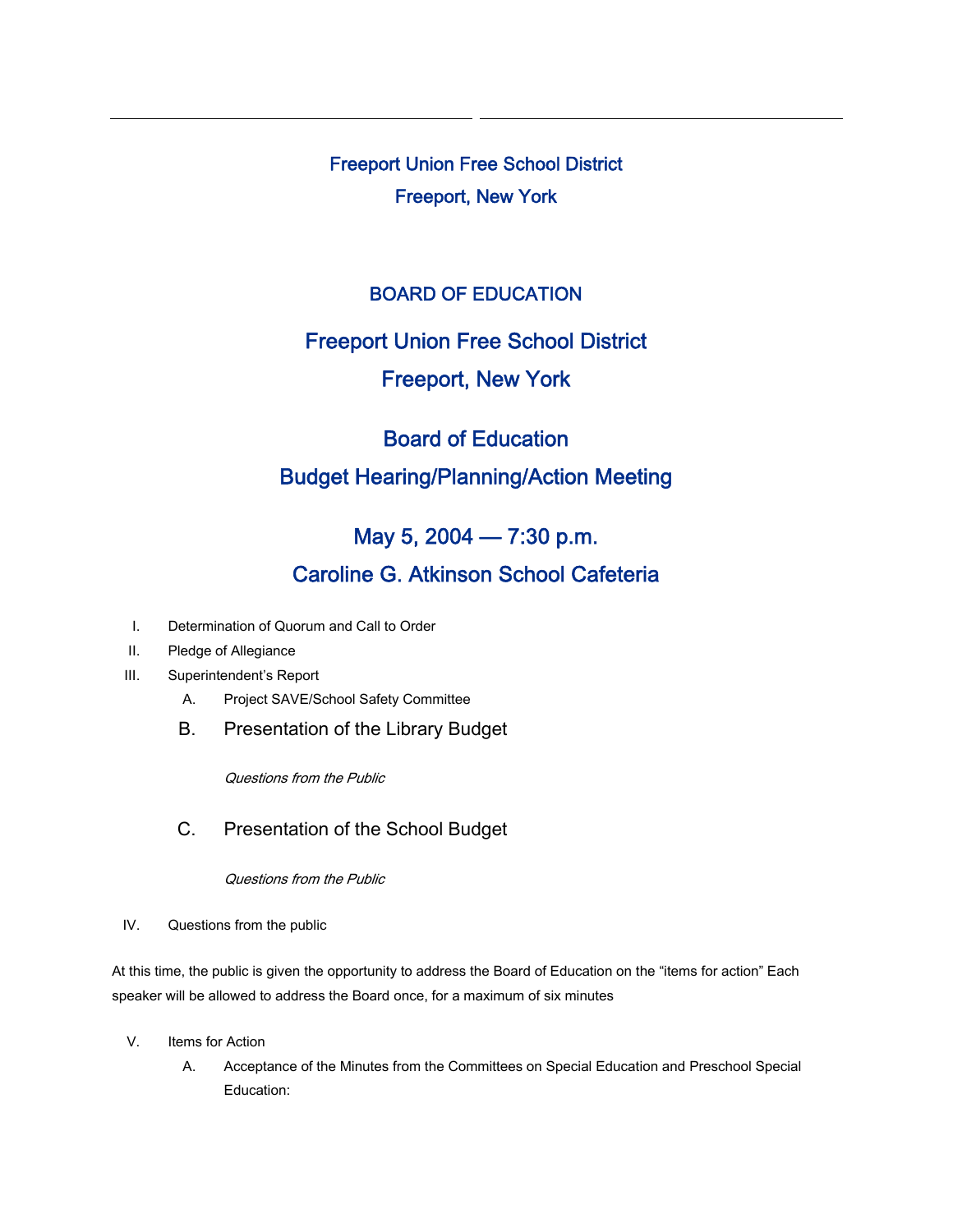Freeport Union Free School District Freeport, New York

#### BOARD OF EDUCATION

# Freeport Union Free School District Freeport, New York

# Board of Education Budget Hearing/Planning/Action Meeting

## May 5, 2004 — 7:30 p.m.

### Caroline G. Atkinson School Cafeteria

- I. Determination of Quorum and Call to Order
- II. Pledge of Allegiance
- III. Superintendent's Report
	- A. Project SAVE/School Safety Committee
	- B. Presentation of the Library Budget

Questions from the Public

C. Presentation of the School Budget

Questions from the Public

IV. Questions from the public

At this time, the public is given the opportunity to address the Board of Education on the "items for action" Each speaker will be allowed to address the Board once, for a maximum of six minutes

- V. Items for Action
	- A. Acceptance of the Minutes from the Committees on Special Education and Preschool Special Education: